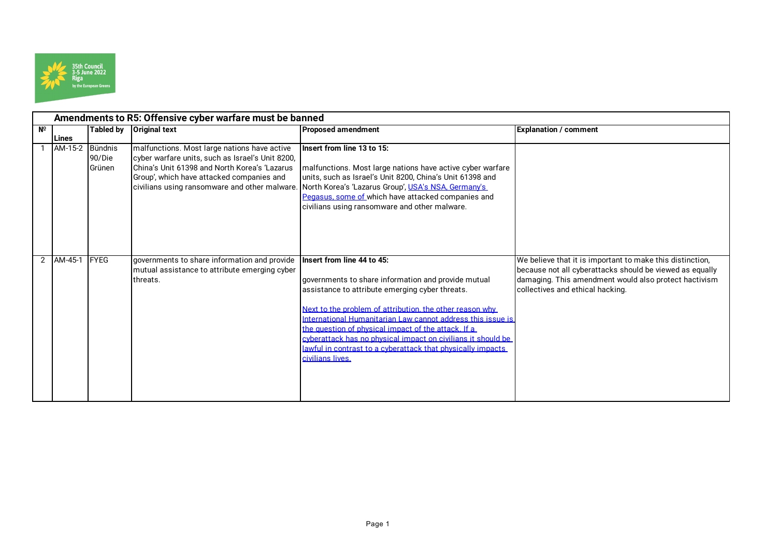

| Amendments to R5: Offensive cyber warfare must be banned |              |                   |                                                                                                  |                                                              |                                                           |  |  |  |  |
|----------------------------------------------------------|--------------|-------------------|--------------------------------------------------------------------------------------------------|--------------------------------------------------------------|-----------------------------------------------------------|--|--|--|--|
| $N^{\circ}$                                              |              | <b>Tabled by</b>  | <b>Original text</b>                                                                             | <b>Proposed amendment</b>                                    | <b>Explanation / comment</b>                              |  |  |  |  |
|                                                          | <b>Lines</b> |                   |                                                                                                  |                                                              |                                                           |  |  |  |  |
|                                                          | AM-15-2      | Bündnis<br>90/Die | malfunctions. Most large nations have active<br>cyber warfare units, such as Israel's Unit 8200, | Insert from line 13 to 15:                                   |                                                           |  |  |  |  |
|                                                          |              | Grünen            | China's Unit 61398 and North Korea's 'Lazarus                                                    | malfunctions. Most large nations have active cyber warfare   |                                                           |  |  |  |  |
|                                                          |              |                   | Group', which have attacked companies and                                                        | units, such as Israel's Unit 8200, China's Unit 61398 and    |                                                           |  |  |  |  |
|                                                          |              |                   | civilians using ransomware and other malware.                                                    | North Korea's 'Lazarus Group', USA's NSA, Germany's          |                                                           |  |  |  |  |
|                                                          |              |                   |                                                                                                  | Pegasus, some of which have attacked companies and           |                                                           |  |  |  |  |
|                                                          |              |                   |                                                                                                  | civilians using ransomware and other malware.                |                                                           |  |  |  |  |
|                                                          |              |                   |                                                                                                  |                                                              |                                                           |  |  |  |  |
|                                                          |              |                   |                                                                                                  |                                                              |                                                           |  |  |  |  |
|                                                          |              |                   |                                                                                                  |                                                              |                                                           |  |  |  |  |
|                                                          |              |                   |                                                                                                  |                                                              |                                                           |  |  |  |  |
| $\overline{2}$                                           | AM-45-1      | <b>IFYEG</b>      | governments to share information and provide                                                     | Insert from line 44 to 45:                                   | We believe that it is important to make this distinction, |  |  |  |  |
|                                                          |              |                   | mutual assistance to attribute emerging cyber                                                    |                                                              | because not all cyberattacks should be viewed as equally  |  |  |  |  |
|                                                          |              |                   | threats.                                                                                         | governments to share information and provide mutual          | damaging. This amendment would also protect hactivism     |  |  |  |  |
|                                                          |              |                   |                                                                                                  | assistance to attribute emerging cyber threats.              | collectives and ethical hacking.                          |  |  |  |  |
|                                                          |              |                   |                                                                                                  | Next to the problem of attribution, the other reason why     |                                                           |  |  |  |  |
|                                                          |              |                   |                                                                                                  | International Humanitarian Law cannot address this issue is  |                                                           |  |  |  |  |
|                                                          |              |                   |                                                                                                  | the question of physical impact of the attack. If a          |                                                           |  |  |  |  |
|                                                          |              |                   |                                                                                                  | cyberattack has no physical impact on civilians it should be |                                                           |  |  |  |  |
|                                                          |              |                   |                                                                                                  | lawful in contrast to a cyberattack that physically impacts  |                                                           |  |  |  |  |
|                                                          |              |                   |                                                                                                  | civilians lives.                                             |                                                           |  |  |  |  |
|                                                          |              |                   |                                                                                                  |                                                              |                                                           |  |  |  |  |
|                                                          |              |                   |                                                                                                  |                                                              |                                                           |  |  |  |  |
|                                                          |              |                   |                                                                                                  |                                                              |                                                           |  |  |  |  |